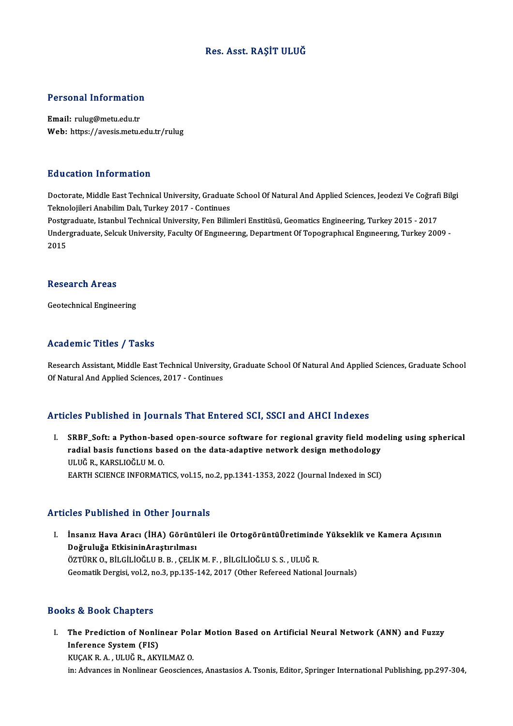#### Res. Asst. RAŞİT ULUĞ

# Personal Information

Personal Information<br>Email: rulug@metu.edu.tr<br>Web: https://avesis.mstv Email: rulug@metu.edu.tr<br>Web: https://avesis.metu.edu.tr/rulug

#### Education Information

Education Information<br>Doctorate, Middle East Technical University, Graduate School Of Natural And Applied Sciences, Jeodezi Ve Coğrafi Bilgi<br>Teknolojilari Apobilim Dalı Turkay 2017, Continues Telatean - HITO HITOON<br>Doctorate, Middle East Technical University, Graduate<br>Teknolojileri Anabilim Dalı, Turkey 2017 - Continues<br>Postaraduate Istanbul Technical University, Fon Bilin Doctorate, Middle East Technical University, Graduate School Of Natural And Applied Sciences, Jeodezi Ve Coğraf<br>Teknolojileri Anabilim Dalı, Turkey 2017 - Continues<br>Postgraduate, Istanbul Technical University, Fen Bilimler

Teknolojileri Anabilim Dalı, Turkey 2017 - Continues<br>Postgraduate, Istanbul Technical University, Fen Bilimleri Enstitüsü, Geomatics Engineering, Turkey 2015 - 2017<br>Undergraduate, Selcuk University, Faculty Of Engineering, Postgi<br>Under<br>2015

#### Research Areas

Geotechnical Engineering

#### Academic Titles / Tasks

Research Assistant, Middle East Technical University, Graduate School Of Natural And Applied Sciences, Graduate School Of Natural And Applied Sciences, 2017 - Continues

#### Articles Published in Journals That Entered SCI, SSCI and AHCI Indexes

rticles Published in Journals That Entered SCI, SSCI and AHCI Indexes<br>I. SRBF\_Soft: a Python-based open-source software for regional gravity field modeling using spherical<br>redial basis functions based on the data adoptive radial basis functions based open-source software for regional gravity field mod<br>radial basis functions based on the data-adaptive network design methodology<br>ULUČ R. KARSLIQČLUM Q radial basis functions based on the data-adaptive network design methodology<br>ULUĞ R., KARSLIOĞLU M. O. EARTH SCIENCE INFORMATICS, vol.15, no.2, pp.1341-1353, 2022 (Journal Indexed in SCI)

#### Articles Published in Other Journals

rticles Published in Other Journals<br>I. İnsanız Hava Aracı (İHA) Görüntüleri ile OrtogörüntüÜretiminde Yükseklik ve Kamera Açısının<br>Doğruluğa EtkisininArastırılması noğruluğa Etkisinin<br>Aranız Hava Aracı (İHA) Görünt<br>Doğruluğa EtkisininAraştırılması<br>Öztüpk o pitcitiočuup pocetiv Doğruluğa EtkisininAraştırılması<br>ÖZTÜRK O., BİLGİLİOĞLU B. B. , ÇELİK M. F. , BİLGİLİOĞLU S. S. , ULUĞ R. Geomatik Dergisi, vol.2, no.3, pp.135-142, 2017 (Other Refereed National Journals)

#### Books&Book Chapters

ooks & Book Chapters<br>I. The Prediction of Nonlinear Polar Motion Based on Artificial Neural Network (ANN) and Fuzzy<br>Inforence System (EIS) Inference System (FIS)<br>Inference System (FIS)<br>VICAV B A - III UČ B - AVV The Prediction of Nonlinear Pola<br>Inference System (FIS)<br>KUÇAK R.A. , ULUĞ R., AKYILMAZ O.<br>in: Advances in Nonlinear Geosciana Inference System (FIS)<br>KUÇAK R. A. , ULUĞ R., AKYILMAZ O.<br>in: Advances in Nonlinear Geosciences, Anastasios A. Tsonis, Editor, Springer International Publishing, pp.297-304,